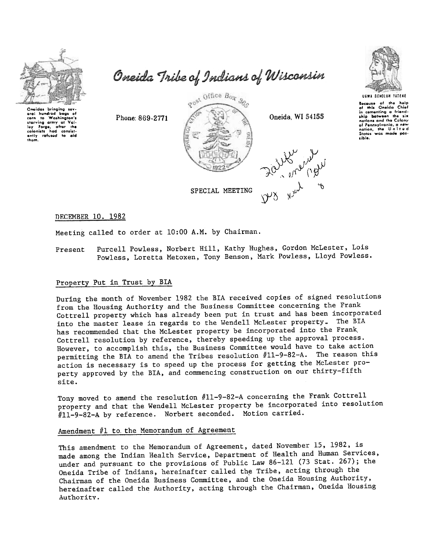

eral hundred bags of<br>corn to Washington's starving army ot Vol<br>Iey: Forge, ofter th colonists had consist<br>ently refused to aic

tham.

Oneida Tribe of Indians of Wisconsin





Because of the help<br>of this Oneida Chie in cementing a triend<br>ship between the si nations and the Colony<br>of Pennsylvania, a new<br>notion, the United<br>States was mode pos librion<br>Lible.

DECEMBER 10. 1982

Meeting called to order at 10:00 A.M. by Chairman.

Purcell Powless, Norbert Hill, Kathy Hughes, Gordon McLester, Lois Powless, Loretta Metoxen, Tony Benson, Mark Powless, Lloyd Powless. Present

#### Property Put in Trust by BIA

During the month of November 1982 the BrA received copies of signed resolutions from the Housing Authority and the Business Committee concerning the Frank Cottrell property which has already been put in trust and has been incorporated into the master lease in regards to the Wendell McLester property. The BIA has recommended that the McLester property be incorporated into the Frank, Cottrell resolution by reference, thereby speeding up the approval process. However, to accomplish this, the Business Committee would have to take action permitting the BIA to amend the Tribes resolution #11-9-82-A. The reason this action is necessary is to speed up the process for getting the McLester property approved by the BIA, and commencing construction on our thirty-fifth site.

Tony moved to amend the resolution #11-9-82-A concerning the Frank Cottrell property and that the Wendell McLester property be incorporated into resolution #11-9-82-A by reference. Norbert seconded. Motion carried.

# Amendment  $#1$  to the Memorandum of Agreement

This amendment to the Memorandum of Agreement, dated November 15,1982, is made among the Indian Health Service, Department of Health and Human Services, under and pursuant to the provisions of Public Law 86-121 (73 Stat. 267); the Oneida Tribe of Indians, hereinafter called the Tribe, acting through the Chairman of the Oneida Business Committee, and'the Oneida Housing Authority, hereinafter called the Authority, acting through the Chairman, Oneida Housing Authority.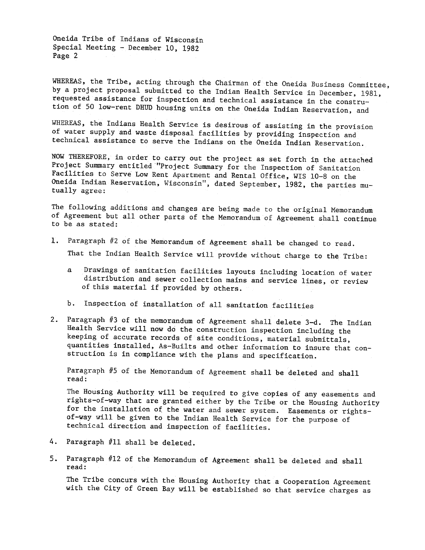Oneida Tribe of Indians of Wisconsin Special Meeting - December 10, 1982 Page 2

WHEREAS, the Tribe, acting through the Chairman of the Oneida Business Committee, by a project proposal submitted to the Indian Health Service in December, 1981, requested assistance for inspection and technical assistance in the constrution of 50 low-rent DHUD housing units on the Oneida Indian Reservation, and

WHEREAS, the Indians Health Service is desirous of assisting in the provision of water supply and waste disposal facilities by providing inspection and technical assistance to serve the Indians on the Oneida Indian Reservation.

NOW THEREFORE, in order to carry out the project as set forth in the attached Project Summary entitled "Project Summary for the Inspection of Sanitation Facilities to Serve Low Rent Apartment and Rental Office, WIS 10-8 on the Oneida Indian Reservation, Wisconsin"', dated September, 1982, the parties mutually agree:

The following additions and changes are being made to the original Memorandum of Agreement but all other parts of the Memorandum of Agreement shall continue to be as stated:

- 1. Paragraph #2 of the Memorandum of Agreement shall be changed to read. That the Indian Health Service will provide without charge to the Tribe:
	- a Drawings of sanitation facilities layouts including location of water distribution and sewer collection mains and service lines, or review of this material if provided by others.
	- b. Inspection of installation of all sanitation facilities
- 2. Paragraph  $#3$  of the memorandum of Agreement shall delete 3-d. The Indian Health Service will now do the construction inspection including the keeping of accurate records of site conditions, material submittals, quantities installed, As-Builts and other information to insure that construction is in compliance with the plans and specification.

Paragraph #5 of the Memorandum of Agreement shall be deleted and shall read:

The Housing Authority will be required to give copies of any easements and rights-of-way that are granted either by the Tribe or the Housing Authority for the installation of the water and sewer system. Easements or rightsof-way will be given to the Indian Health Service for the purpose of technical direction and inspection of facilities.

- 4. Paragraph #11 shall be deleted.
- 5. Paragraph #12 of the Memorandum of Agreement shall be deleted and shall<br>read:<br>The Tribe concurs with the Housing Authority that a Cooperation Agreement<br>with the City of Green Bay will be established so that service char

The Tribe concurs with the Housing Authority that a Cooperation Agreement with the City of Green Bay will be established so that service charges as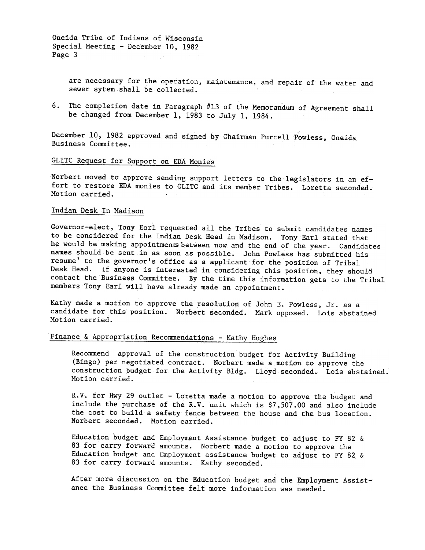Oneida Tribe of Indians of Wisconsin Special Meeting - December  $10$ , 1982 Page 3

> are necessary for the operation, maintenance, and repair of the water and sewer sytem shall be collected.

6. The completion date in Paragraph #13 of the Memorandum of Agreement shall be changed from December 1, 1983 to July 1, 1984.

December 10, 1982 approved and signed by Chairman Purcell Powless, Oneida Business Committee.

# GLITC Request for Support on EDA Monies

Norbert moved to approve sending support letters to the legislators in an effort to restore EDA monies to GLITC and its member Tribes. Loretta seconded. Motion carried.

#### Indian Desk In Madison

Governor-elect, Tony Earl requested all the Tribes to submit candidates names to be considered for the Indian Desk Head in Madison. Tony Earl stated that he would be making appointments between now and the end of the year. Candidates names should be sent in as soon as possible. John Powless has submitted his resume' to the governor's office as a applicant for the position of Tribal Desk Head. If anyone is interested in considering this position, they should contact the Business Committee. By the time this information gets to the Tribal members Tony Earl will have already made an appointment.

Kathy made a motion to approve the resolution of John E. Powless, Jr. as a candidate for this position. Norbert seconded. Mark opposed. Lois abstained Motion carried.

# Finance & Appropriation Recommendations - Kathy Hughes

Recommend approval of the construction budget for Activity Building (Bingo) per negotiated contract. Norbert made a motion to approve the construction budget for the Activity Bldg. Lloyd seconded. Lois abstained. Motion carried.

R.V. for Hwy 29 outlet - Loretta made a motion to approve the budget and include the purchase of the R.V. unit which is \$7,507.00 and also include the cost to build a safety fence between the house and the bus location. Norbert seconded. Motion carried.

Education budget and Employment Assistance budget to adjust to FY 82 & 83 for carry forward amounts. Norbert made a motion to approve the Education budget and Employment assistance budget to adjust to FY 82 & 83 for carry forward amounts. Kathy seconded.

After more discussion on the Education budget and the Employment Assistance the Business Committee felt more information was needed.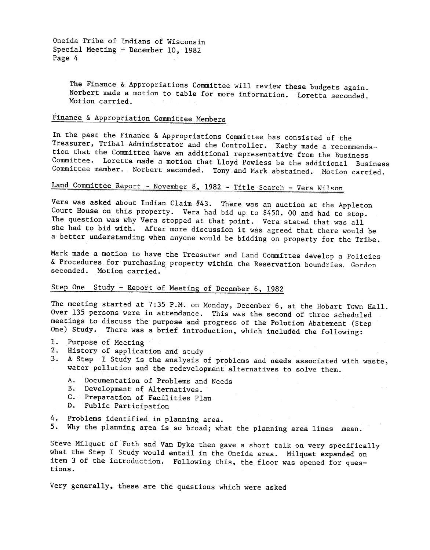Oneida Tribe of Indians of Wisconsin Special Meeting - December  $10,1982$ Page 4

> The Finance & Appropriations Committee will review these budgets again. Norbert made a motion to table for more information. Loretta seconded. Motion carried.

# Finance & Appropriation Committee Members

In the past the Finance & Appropriations Committee has consisted of the Treasurer, Tribal Administrator and the Controller. Kathy made a recommendation that the Committee have an additional representative from the Business Loretta made a motion that Lloyd Powless be the additional Business Committee member. Norbert seconded. Tony and Mark abstained. Motion carried.

# Land Committee Report - November 8, 1982 - Title Search - Vera Wilson

Vera was asked about Indian Claim  $#43$ . There was an auction at the Appleton Court House on this property. Vera had bid up to \$450.00 and had to stop. The question was why Vera stopped at that point. Vera stated that was all she had to bid with. After more discussion it was agreed that there would be abetter understanding when anyone would be bidding on property for the Tribe.

Mark made a motion to have the Treasurer and Land Committee develop a Policies & Procedures for purchasing property within the Reservation boundries. Gordon seconded. Motion carried.

### Step One Study - Report of Meeting of December 6, 1982

The meeting started at 7:35 P.M. on Monday, December  $6$ , at the Hobart Town Hall. Over 135 persons were in attendance. This was the second of three scheduled meetings to discuss the purpose and progress of the Po1ution Abatement (Step One) Study. There was a brief introduction, which included the following:

- 1. Purpose of Meeting
- 2. History of application and study
- 3. A Step I Study is the analysis of problems and needs associated with waste, water pollution and the redevelopment alternatives to solve them.
	- A. Documentation of Problems and Needs
	- B. Development of Alternatives.
	- C. Preparation of Facilities Plan
	- D. Public Participation
- 4. Problems identified in planning area.
- Why the planning area is so broad; what the planning area lines .mean.

Steve Milquet of Foth and Van Dyke then gave a short talk on very specifically what the Step I Study would entail in the Oneida area. Milquet expanded on item 3 of the introduction. Following this, the floor was opened for questions.

Very generally, these are the questions which were asked